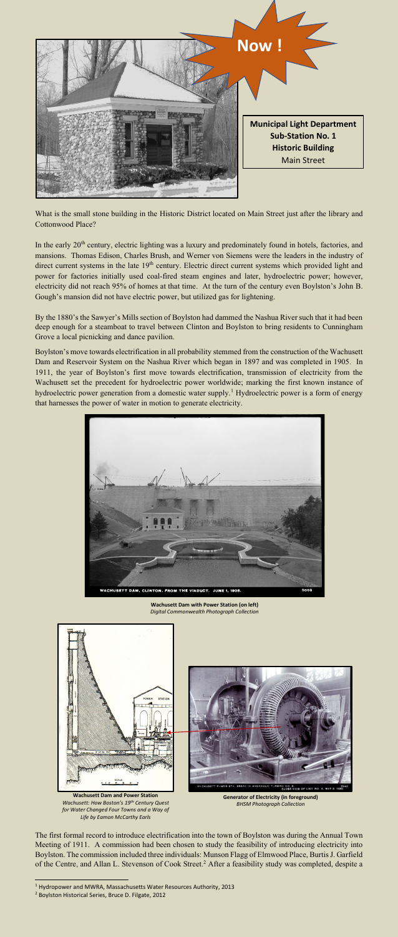What is the small stone building in the Historic District located on Main Street just after the library and Cottonwood Place?

In the early 20<sup>th</sup> century, electric lighting was a luxury and predominately found in hotels, factories, and mansions. Thomas Edison, Charles Brush, and Werner von Siemens were the leaders in the industry of direct current systems in the late 19<sup>th</sup> century. Electric direct current systems which provided light and power for factories initially used coal-fired steam engines and later, hydroelectric power; however, electricity did not reach 95% of homes at that time. At the turn of the century even Boylston's John B. Gough's mansion did not have electric power, but utilized gas for lightening.

The first formal record to introduce electrification into the town of Boylston was during the Annual Town Meeting of 1911. A commission had been chosen to study the feasibility of introducing electricity into Boylston. The commission included three individuals: Munson Flagg of Elmwood Place, BurtisJ. Garfield of the Centre, and Allan L. Stevenson of Cook Street.<sup>2</sup> After a feasibility study was completed, despite a

By the 1880's the Sawyer's Mills section of Boylston had dammed the Nashua River such that it had been deep enough for a steamboat to travel between Clinton and Boylston to bring residents to Cunningham Grove a local picnicking and dance pavilion.

Boylston's move towards electrification in all probability stemmed from the construction of the Wachusett Dam and Reservoir System on the Nashua River which began in 1897 and was completed in 1905. In 1911, the year of Boylston's first move towards electrification, transmission of electricity from the Wachusett set the precedent for hydroelectric power worldwide; marking the first known instance of hydroelectric power generation from a domestic water supply.<sup>1</sup> Hydroelectric power is a form of energy that harnesses the power of water in motion to generate electricity.



5869



**Wachusett Dam with Power Station (on left)** *Digital Commonwealth Photograph Collection*



**Wachusett Dam and Power Station** *Wachusett: How Boston's 19th Century Quest for Water Changed Four Towns and a Way of Life by Eamon McCarthy Earls*

**Generator of Electricity (in foreground)** *BHSM Photograph Collection*

<sup>1</sup> Hydropower and MWRA, Massachusetts Water Resources Authority, 2013

<sup>2</sup> Boylston Historical Series, Bruce D. Filgate, 2012